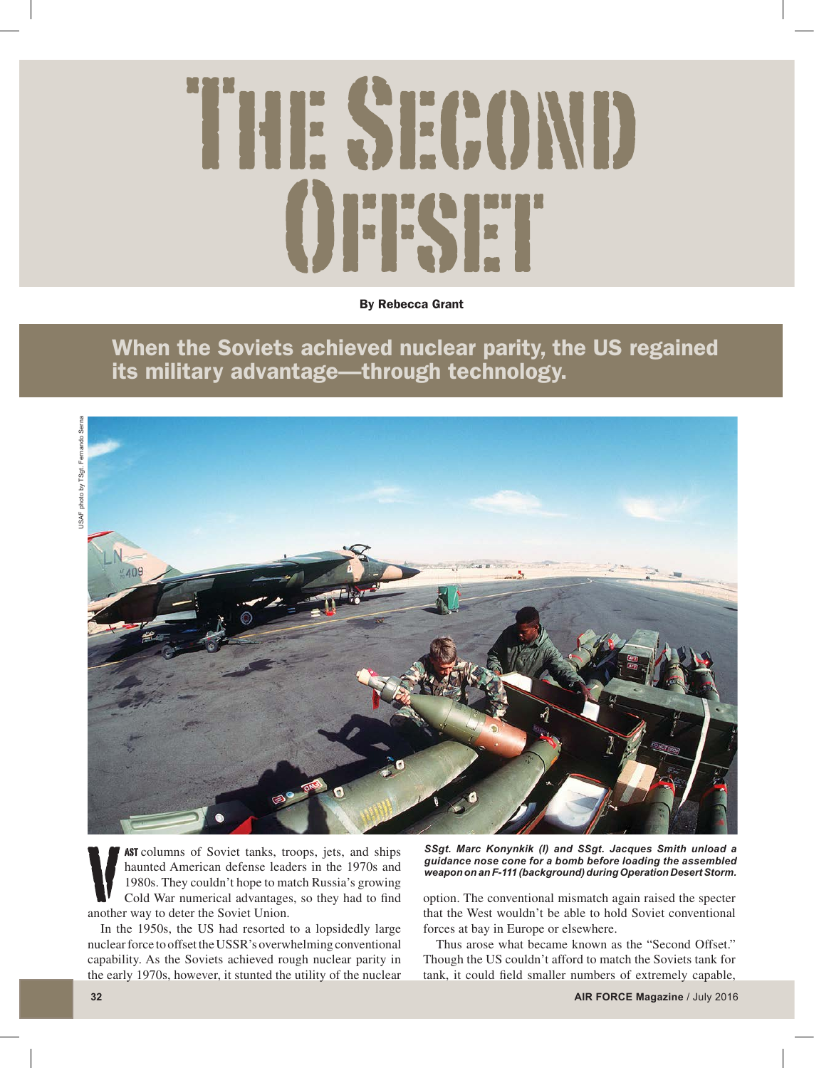## THE SECOND **EXT**

By Rebecca Grant

When the Soviets achieved nuclear parity, the US regained its military advantage—through technology.



AST columns of Soviet tanks, troops, jets, and ships haunted American defense leaders in the 1970s and 1980s. They couldn't hope to match Russia's growing Cold War numerical advantages, so they had to find another way to deter the Soviet Union.

In the 1950s, the US had resorted to a lopsidedly large nuclear force to offset the USSR's overwhelming conventional capability. As the Soviets achieved rough nuclear parity in the early 1970s, however, it stunted the utility of the nuclear *SSgt. Marc Konynkik (l) and SSgt. Jacques Smith unload a guidance nose cone for a bomb before loading the assembled weapon on an F-111 (background) during Operation Desert Storm.* 

option. The conventional mismatch again raised the specter that the West wouldn't be able to hold Soviet conventional forces at bay in Europe or elsewhere.

Thus arose what became known as the "Second Offset." Though the US couldn't afford to match the Soviets tank for tank, it could field smaller numbers of extremely capable,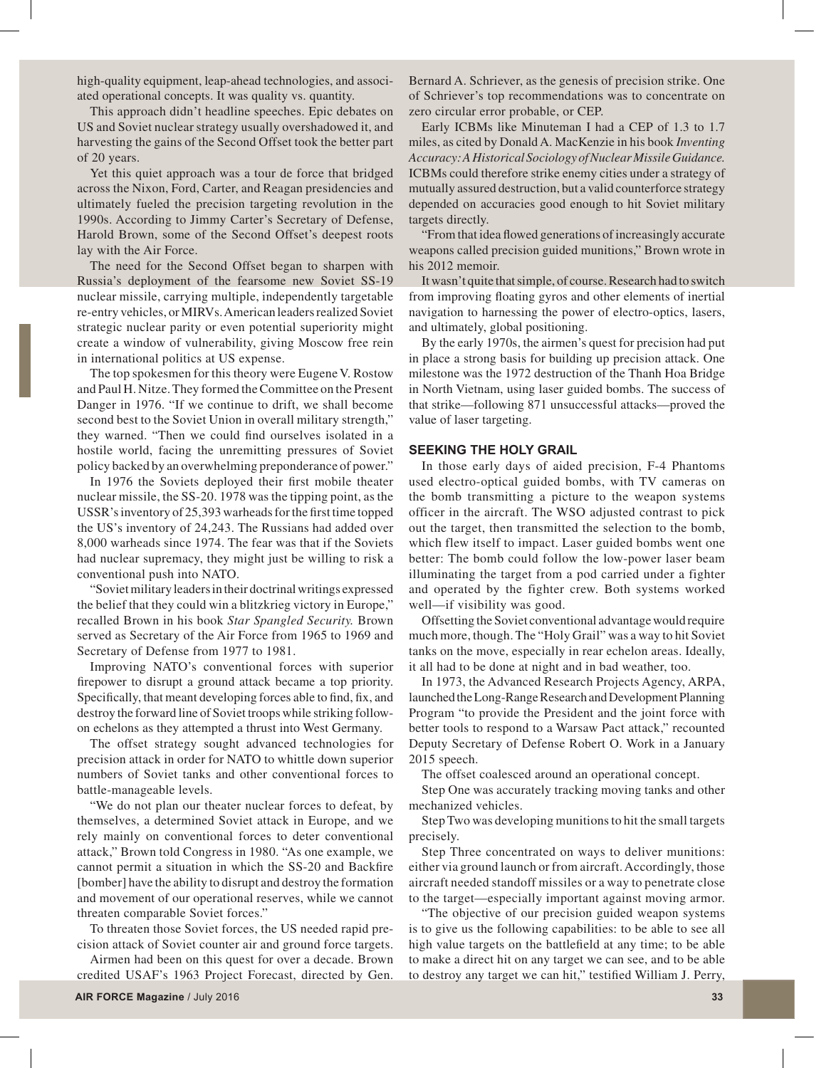high-quality equipment, leap-ahead technologies, and associated operational concepts. It was quality vs. quantity.

This approach didn't headline speeches. Epic debates on US and Soviet nuclear strategy usually overshadowed it, and harvesting the gains of the Second Offset took the better part of 20 years.

Yet this quiet approach was a tour de force that bridged across the Nixon, Ford, Carter, and Reagan presidencies and ultimately fueled the precision targeting revolution in the 1990s. According to Jimmy Carter's Secretary of Defense, Harold Brown, some of the Second Offset's deepest roots lay with the Air Force.

The need for the Second Offset began to sharpen with Russia's deployment of the fearsome new Soviet SS-19 nuclear missile, carrying multiple, independently targetable re-entry vehicles, or MIRVs. American leaders realized Soviet strategic nuclear parity or even potential superiority might create a window of vulnerability, giving Moscow free rein in international politics at US expense.

The top spokesmen for this theory were Eugene V. Rostow and Paul H. Nitze. They formed the Committee on the Present Danger in 1976. "If we continue to drift, we shall become second best to the Soviet Union in overall military strength," they warned. "Then we could find ourselves isolated in a hostile world, facing the unremitting pressures of Soviet policy backed by an overwhelming preponderance of power."

In 1976 the Soviets deployed their first mobile theater nuclear missile, the SS-20. 1978 was the tipping point, as the USSR's inventory of 25,393 warheads for the first time topped the US's inventory of 24,243. The Russians had added over 8,000 warheads since 1974. The fear was that if the Soviets had nuclear supremacy, they might just be willing to risk a conventional push into NATO.

"Soviet military leaders in their doctrinal writings expressed the belief that they could win a blitzkrieg victory in Europe," recalled Brown in his book *Star Spangled Security.* Brown served as Secretary of the Air Force from 1965 to 1969 and Secretary of Defense from 1977 to 1981.

Improving NATO's conventional forces with superior firepower to disrupt a ground attack became a top priority. Specifically, that meant developing forces able to find, fix, and destroy the forward line of Soviet troops while striking followon echelons as they attempted a thrust into West Germany.

The offset strategy sought advanced technologies for precision attack in order for NATO to whittle down superior numbers of Soviet tanks and other conventional forces to battle-manageable levels.

"We do not plan our theater nuclear forces to defeat, by themselves, a determined Soviet attack in Europe, and we rely mainly on conventional forces to deter conventional attack," Brown told Congress in 1980. "As one example, we cannot permit a situation in which the SS-20 and Backfire [bomber] have the ability to disrupt and destroy the formation and movement of our operational reserves, while we cannot threaten comparable Soviet forces."

To threaten those Soviet forces, the US needed rapid precision attack of Soviet counter air and ground force targets.

Airmen had been on this quest for over a decade. Brown credited USAF's 1963 Project Forecast, directed by Gen.

Bernard A. Schriever, as the genesis of precision strike. One of Schriever's top recommendations was to concentrate on zero circular error probable, or CEP.

Early ICBMs like Minuteman I had a CEP of 1.3 to 1.7 miles, as cited by Donald A. MacKenzie in his book *Inventing Accuracy: A Historical Sociology of Nuclear Missile Guidance.*  ICBMs could therefore strike enemy cities under a strategy of mutually assured destruction, but a valid counterforce strategy depended on accuracies good enough to hit Soviet military targets directly.

"From that idea flowed generations of increasingly accurate weapons called precision guided munitions," Brown wrote in his 2012 memoir.

It wasn't quite that simple, of course. Research had to switch from improving floating gyros and other elements of inertial navigation to harnessing the power of electro-optics, lasers, and ultimately, global positioning.

By the early 1970s, the airmen's quest for precision had put in place a strong basis for building up precision attack. One milestone was the 1972 destruction of the Thanh Hoa Bridge in North Vietnam, using laser guided bombs. The success of that strike—following 871 unsuccessful attacks—proved the value of laser targeting.

## **SEEKING THE HOLY GRAIL**

In those early days of aided precision, F-4 Phantoms used electro-optical guided bombs, with TV cameras on the bomb transmitting a picture to the weapon systems officer in the aircraft. The WSO adjusted contrast to pick out the target, then transmitted the selection to the bomb, which flew itself to impact. Laser guided bombs went one better: The bomb could follow the low-power laser beam illuminating the target from a pod carried under a fighter and operated by the fighter crew. Both systems worked well—if visibility was good.

Offsetting the Soviet conventional advantage would require much more, though. The "Holy Grail" was a way to hit Soviet tanks on the move, especially in rear echelon areas. Ideally, it all had to be done at night and in bad weather, too.

In 1973, the Advanced Research Projects Agency, ARPA, launched the Long-Range Research and Development Planning Program "to provide the President and the joint force with better tools to respond to a Warsaw Pact attack," recounted Deputy Secretary of Defense Robert O. Work in a January 2015 speech.

The offset coalesced around an operational concept.

Step One was accurately tracking moving tanks and other mechanized vehicles.

Step Two was developing munitions to hit the small targets precisely.

Step Three concentrated on ways to deliver munitions: either via ground launch or from aircraft. Accordingly, those aircraft needed standoff missiles or a way to penetrate close to the target—especially important against moving armor.

"The objective of our precision guided weapon systems is to give us the following capabilities: to be able to see all high value targets on the battlefield at any time; to be able to make a direct hit on any target we can see, and to be able to destroy any target we can hit," testified William J. Perry,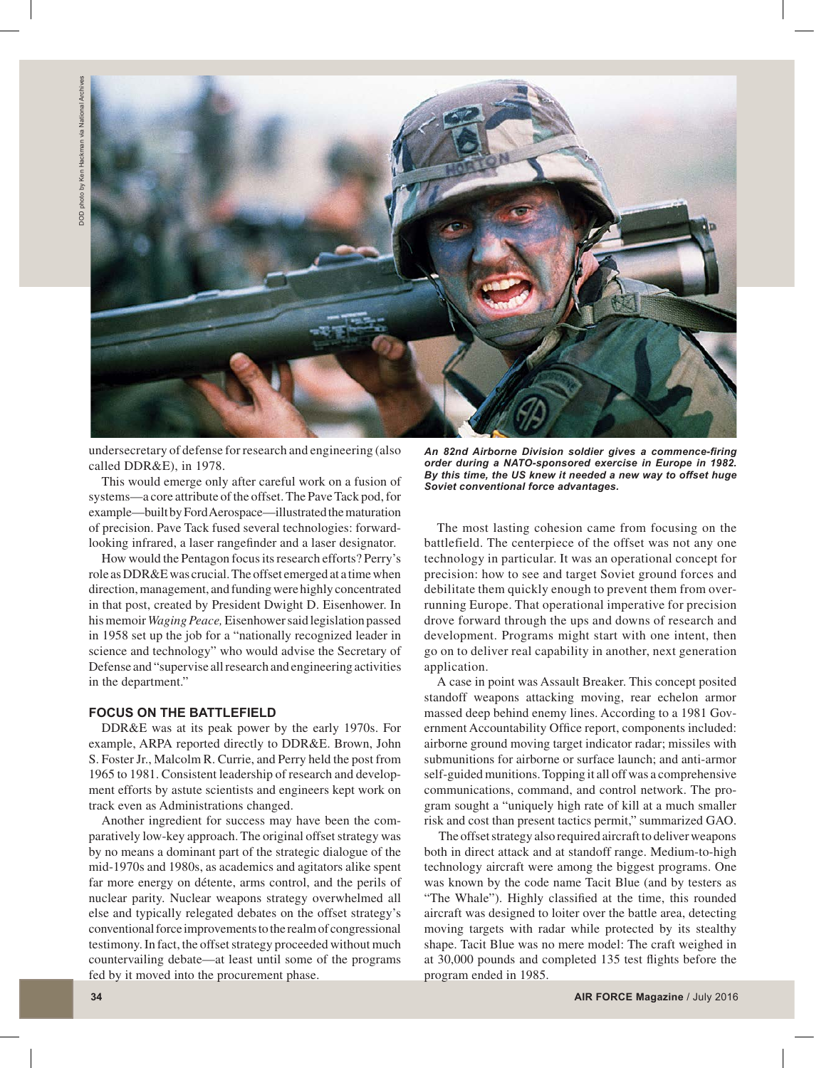

undersecretary of defense for research and engineering (also called DDR&E), in 1978.

This would emerge only after careful work on a fusion of systems—a core attribute of the offset. The Pave Tack pod, for example—built by Ford Aerospace—illustrated the maturation of precision. Pave Tack fused several technologies: forwardlooking infrared, a laser rangefinder and a laser designator.

How would the Pentagon focus its research efforts? Perry's role as DDR&E was crucial. The offset emerged at a time when direction, management, and funding were highly concentrated in that post, created by President Dwight D. Eisenhower. In his memoir *Waging Peace,* Eisenhower said legislation passed in 1958 set up the job for a "nationally recognized leader in science and technology" who would advise the Secretary of Defense and "supervise all research and engineering activities in the department."

## **FOCUS ON THE BATTLEFIELD**

DDR&E was at its peak power by the early 1970s. For example, ARPA reported directly to DDR&E. Brown, John S. Foster Jr., Malcolm R. Currie, and Perry held the post from 1965 to 1981. Consistent leadership of research and development efforts by astute scientists and engineers kept work on track even as Administrations changed.

Another ingredient for success may have been the comparatively low-key approach. The original offset strategy was by no means a dominant part of the strategic dialogue of the mid-1970s and 1980s, as academics and agitators alike spent far more energy on détente, arms control, and the perils of nuclear parity. Nuclear weapons strategy overwhelmed all else and typically relegated debates on the offset strategy's conventional force improvements to the realm of congressional testimony. In fact, the offset strategy proceeded without much countervailing debate—at least until some of the programs fed by it moved into the procurement phase.

*An 82nd Airborne Division soldier gives a commence-firing order during a NATO-sponsored exercise in Europe in 1982. By this time, the US knew it needed a new way to offset huge Soviet conventional force advantages.*

The most lasting cohesion came from focusing on the battlefield. The centerpiece of the offset was not any one technology in particular. It was an operational concept for precision: how to see and target Soviet ground forces and debilitate them quickly enough to prevent them from overrunning Europe. That operational imperative for precision drove forward through the ups and downs of research and development. Programs might start with one intent, then go on to deliver real capability in another, next generation application.

A case in point was Assault Breaker. This concept posited standoff weapons attacking moving, rear echelon armor massed deep behind enemy lines. According to a 1981 Government Accountability Office report, components included: airborne ground moving target indicator radar; missiles with submunitions for airborne or surface launch; and anti-armor self-guided munitions. Topping it all off was a comprehensive communications, command, and control network. The program sought a "uniquely high rate of kill at a much smaller risk and cost than present tactics permit," summarized GAO.

 The offset strategy also required aircraft to deliver weapons both in direct attack and at standoff range. Medium-to-high technology aircraft were among the biggest programs. One was known by the code name Tacit Blue (and by testers as "The Whale"). Highly classified at the time, this rounded aircraft was designed to loiter over the battle area, detecting moving targets with radar while protected by its stealthy shape. Tacit Blue was no mere model: The craft weighed in at 30,000 pounds and completed 135 test flights before the program ended in 1985.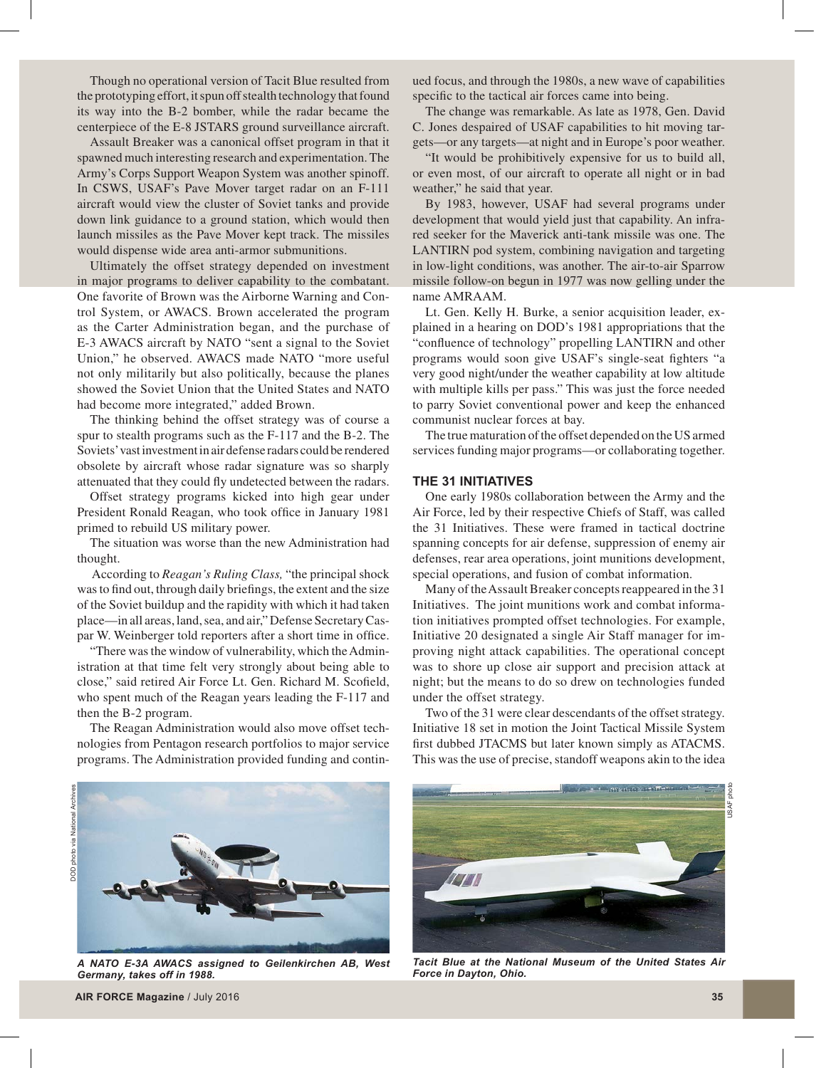Though no operational version of Tacit Blue resulted from the prototyping effort, it spun off stealth technology that found its way into the B-2 bomber, while the radar became the centerpiece of the E-8 JSTARS ground surveillance aircraft.

Assault Breaker was a canonical offset program in that it spawned much interesting research and experimentation. The Army's Corps Support Weapon System was another spinoff. In CSWS, USAF's Pave Mover target radar on an F-111 aircraft would view the cluster of Soviet tanks and provide down link guidance to a ground station, which would then launch missiles as the Pave Mover kept track. The missiles would dispense wide area anti-armor submunitions.

Ultimately the offset strategy depended on investment in major programs to deliver capability to the combatant. One favorite of Brown was the Airborne Warning and Control System, or AWACS. Brown accelerated the program as the Carter Administration began, and the purchase of E-3 AWACS aircraft by NATO "sent a signal to the Soviet Union," he observed. AWACS made NATO "more useful not only militarily but also politically, because the planes showed the Soviet Union that the United States and NATO had become more integrated," added Brown.

The thinking behind the offset strategy was of course a spur to stealth programs such as the F-117 and the B-2. The Soviets' vast investment in air defense radars could be rendered obsolete by aircraft whose radar signature was so sharply attenuated that they could fly undetected between the radars.

Offset strategy programs kicked into high gear under President Ronald Reagan, who took office in January 1981 primed to rebuild US military power.

The situation was worse than the new Administration had thought.

 According to *Reagan's Ruling Class,* "the principal shock was to find out, through daily briefings, the extent and the size of the Soviet buildup and the rapidity with which it had taken place—in all areas, land, sea, and air," Defense Secretary Caspar W. Weinberger told reporters after a short time in office.

"There was the window of vulnerability, which the Administration at that time felt very strongly about being able to close," said retired Air Force Lt. Gen. Richard M. Scofield, who spent much of the Reagan years leading the F-117 and then the B-2 program.

The Reagan Administration would also move offset technologies from Pentagon research portfolios to major service programs. The Administration provided funding and continued focus, and through the 1980s, a new wave of capabilities specific to the tactical air forces came into being.

The change was remarkable. As late as 1978, Gen. David C. Jones despaired of USAF capabilities to hit moving targets—or any targets—at night and in Europe's poor weather.

"It would be prohibitively expensive for us to build all, or even most, of our aircraft to operate all night or in bad weather," he said that year.

By 1983, however, USAF had several programs under development that would yield just that capability. An infrared seeker for the Maverick anti-tank missile was one. The LANTIRN pod system, combining navigation and targeting in low-light conditions, was another. The air-to-air Sparrow missile follow-on begun in 1977 was now gelling under the name AMRAAM.

Lt. Gen. Kelly H. Burke, a senior acquisition leader, explained in a hearing on DOD's 1981 appropriations that the "confluence of technology" propelling LANTIRN and other programs would soon give USAF's single-seat fighters "a very good night/under the weather capability at low altitude with multiple kills per pass." This was just the force needed to parry Soviet conventional power and keep the enhanced communist nuclear forces at bay.

The true maturation of the offset depended on the US armed services funding major programs—or collaborating together.

## **THE 31 INITIATIVES**

One early 1980s collaboration between the Army and the Air Force, led by their respective Chiefs of Staff, was called the 31 Initiatives. These were framed in tactical doctrine spanning concepts for air defense, suppression of enemy air defenses, rear area operations, joint munitions development, special operations, and fusion of combat information.

Many of the Assault Breaker concepts reappeared in the 31 Initiatives. The joint munitions work and combat information initiatives prompted offset technologies. For example, Initiative 20 designated a single Air Staff manager for improving night attack capabilities. The operational concept was to shore up close air support and precision attack at night; but the means to do so drew on technologies funded under the offset strategy.

Two of the 31 were clear descendants of the offset strategy. Initiative 18 set in motion the Joint Tactical Missile System first dubbed JTACMS but later known simply as ATACMS. This was the use of precise, standoff weapons akin to the idea



*A NATO E-3A AWACS assigned to Geilenkirchen AB, West Germany, takes off in 1988.*



*Tacit Blue at the National Museum of the United States Air Force in Dayton, Ohio.*